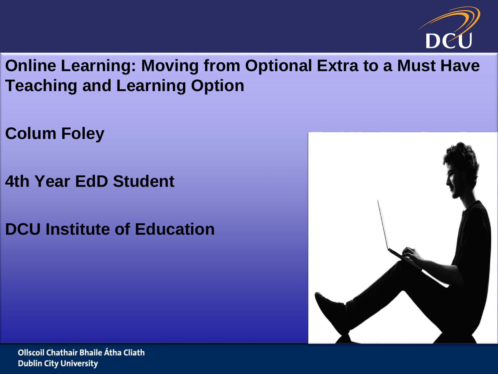

**Online Learning: Moving from Optional Extra to a Must Have Teaching and Learning Option**

**Colum Foley**

**4th Year EdD Student**

**DCU Institute of Education**

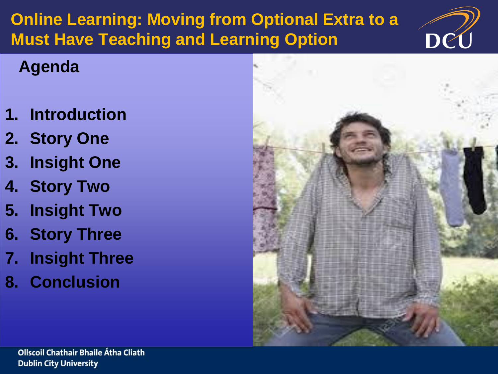## **Online Learning: Moving from Optional Extra to a Must Have Teaching and Learning Option**



### **Agenda**

- **1. Introduction**
- **2. Story One**
- **3. Insight One**
- **4. Story Two**
- **5. Insight Two**
- **6. Story Three**
- **7. Insight Three**
- **8. Conclusion**

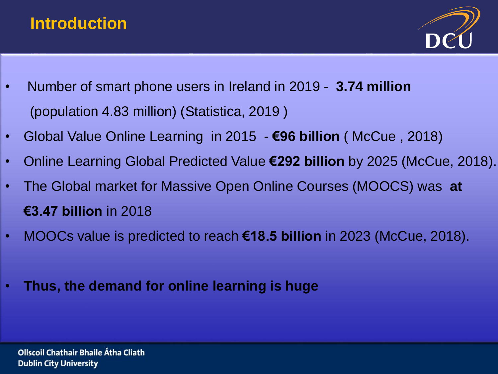#### **Introduction**



- Number of smart phone users in Ireland in 2019 **3.74 million**  (population 4.83 million) (Statistica, 2019 )
- Global Value Online Learning in 2015 **€96 billion** ( McCue , 2018)
- Online Learning Global Predicted Value **€292 billion** by 2025 (McCue, 2018).
- The Global market for Massive Open Online Courses (MOOCS) was **at €3.47 billion** in 2018
- MOOCs value is predicted to reach **€18.5 billion** in 2023 (McCue, 2018).
- **Thus, the demand for online learning is huge**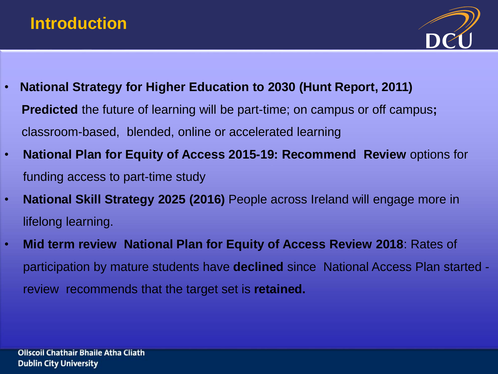#### **Introduction**



- **National Strategy for Higher Education to 2030 (Hunt Report, 2011) Predicted** the future of learning will be part-time; on campus or off campus; classroom-based, blended, online or accelerated learning
- **National Plan for Equity of Access 2015-19: Recommend Review** options for funding access to part-time study
- **National Skill Strategy 2025 (2016)** People across Ireland will engage more in lifelong learning.
- **Mid term review National Plan for Equity of Access Review 2018**: Rates of participation by mature students have **declined** since National Access Plan started review recommends that the target set is **retained.**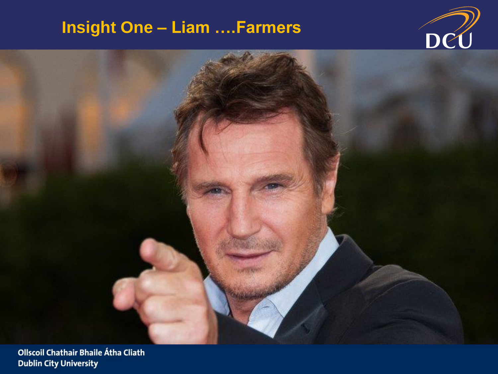### **Insight One - Liam .... Farmers**



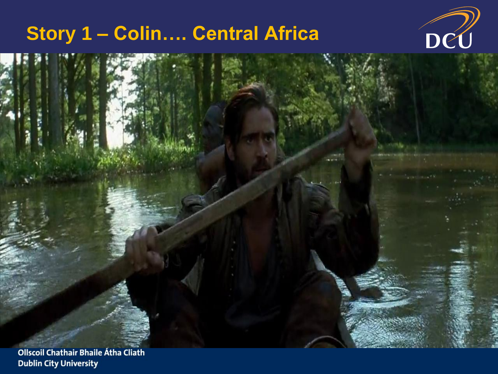# Story 1 - Colin.... Central Africa



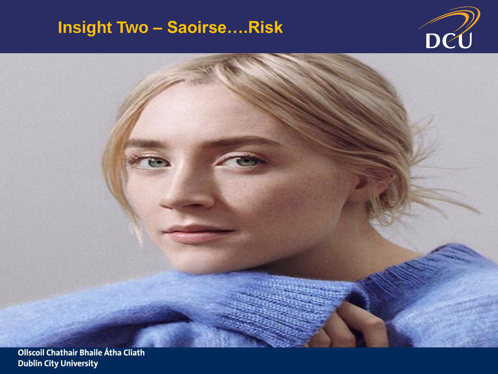#### **Insight Two - Saoirse....Risk**



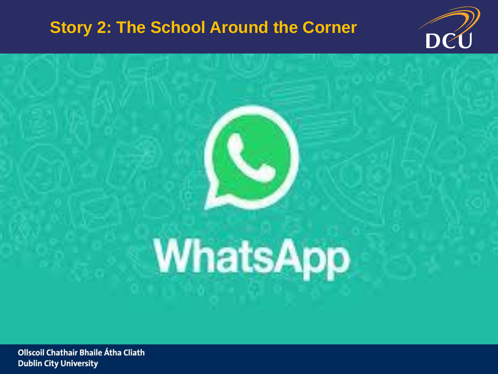#### **Story 2: The School Around the Corner**



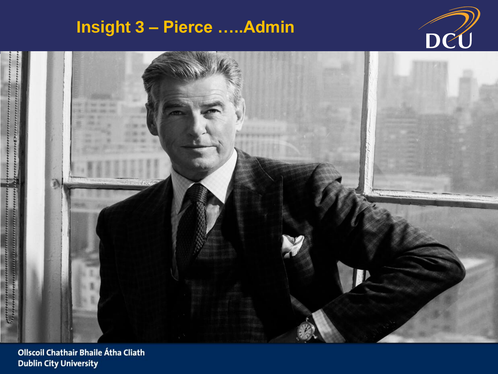### **Insight 3 - Pierce .....Admin**

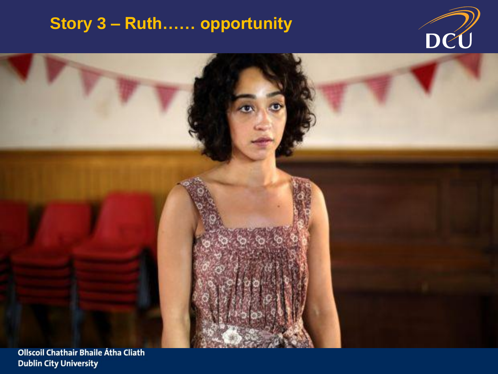### Story 3 - Ruth...... opportunity



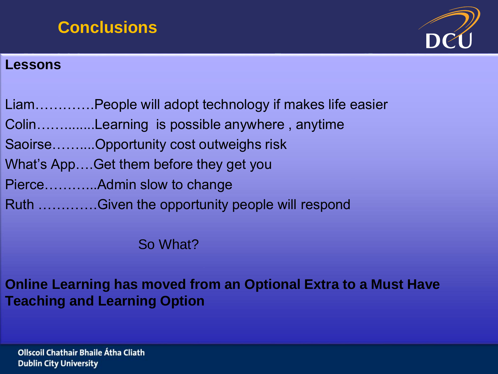#### **Conclusions**



#### **Lessons**

| LiamPeople will adopt technology if makes life easier |
|-------------------------------------------------------|
| ColinLearning is possible anywhere, anytime           |
| SaoirseOpportunity cost outweighs risk                |
| What's AppGet them before they get you                |
| PierceAdmin slow to change                            |
| Ruth Given the opportunity people will respond        |

So What?

Online Learning has moved from an Optional Extra to a Must Have **Teaching and Learning Option**